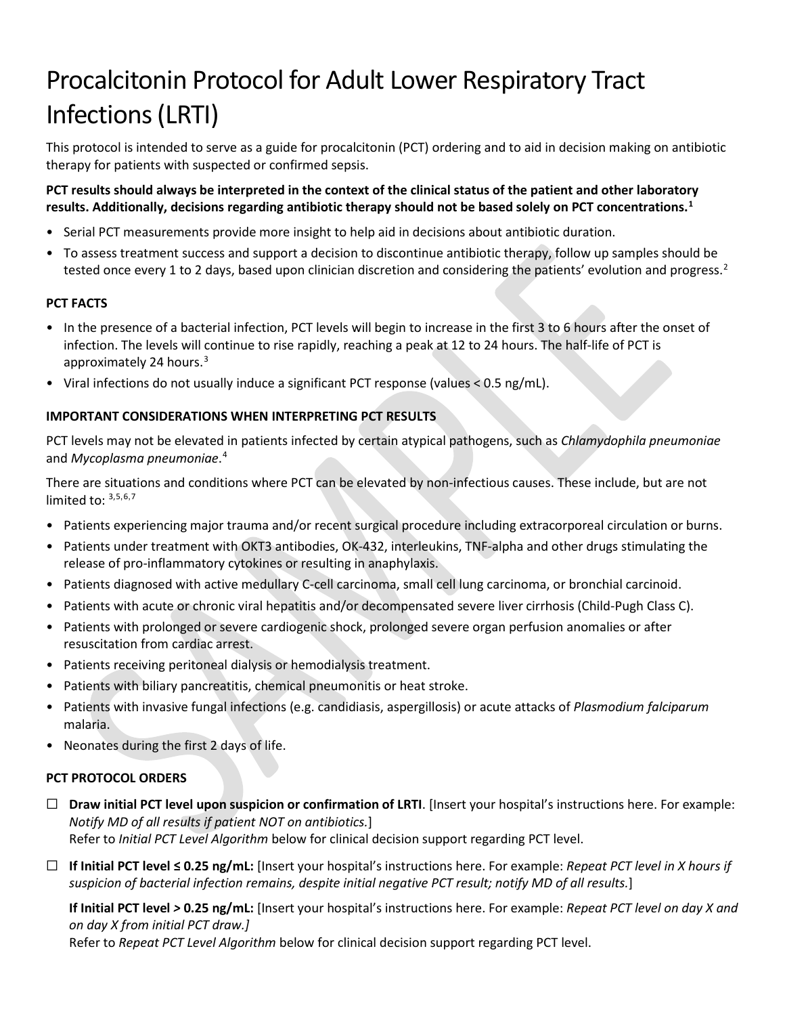# Procalcitonin Protocol for Adult Lower Respiratory Tract Infections(LRTI)

This protocol is intended to serve as a guide for procalcitonin (PCT) ordering and to aid in decision making on antibiotic therapy for patients with suspected or confirmed sepsis.

## **PCT results should always be interpreted in the context of the clinical status of the patient and other laboratory results. Additionally, decisions regarding antibiotic therapy should not be based solely on PCT concentrations.[1](#page-1-0)**

- Serial PCT measurements provide more insight to help aid in decisions about antibiotic duration.
- To assess treatment success and support a decision to discontinue antibiotic therapy, follow up samples should be tested once every 1 to 2 days, based upon clinician discretion and considering the patients' evolution and progress.<sup>2</sup>

### **PCT FACTS**

- In the presence of a bacterial infection, PCT levels will begin to increase in the first 3 to 6 hours after the onset of infection. The levels will continue to rise rapidly, reaching a peak at 12 to 24 hours. The half-life of PCT is approximately 24 hours.<sup>[3](#page-1-2)</sup>
- <span id="page-0-0"></span>• Viral infections do not usually induce a significant PCT response (values < 0.5 ng/mL).

### **IMPORTANT CONSIDERATIONS WHEN INTERPRETING PCT RESULTS**

PCT levels may not be elevated in patients infected by certain atypical pathogens, such as *Chlamydophila pneumoniae* and *Mycoplasma pneumoniae*. [4](#page-1-3)

There are situations and conditions where PCT can be elevated by non-infectious causes. These include, but are not limited to:  $3,5,6,7$  $3,5,6,7$  $3,5,6,7$  $3,5,6,7$  $3,5,6,7$  $3,5,6,7$ 

- Patients experiencing major trauma and/or recent surgical procedure including extracorporeal circulation or burns.
- Patients under treatment with OKT3 antibodies, OK-432, interleukins, TNF-alpha and other drugs stimulating the release of pro-inflammatory cytokines or resulting in anaphylaxis.
- Patients diagnosed with active medullary C-cell carcinoma, small cell lung carcinoma, or bronchial carcinoid.
- Patients with acute or chronic viral hepatitis and/or decompensated severe liver cirrhosis (Child-Pugh Class C).
- Patients with prolonged or severe cardiogenic shock, prolonged severe organ perfusion anomalies or after resuscitation from cardiac arrest.
- Patients receiving peritoneal dialysis or hemodialysis treatment.
- Patients with biliary pancreatitis, chemical pneumonitis or heat stroke.
- Patients with invasive fungal infections (e.g. candidiasis, aspergillosis) or acute attacks of *Plasmodium falciparum* malaria.
- Neonates during the first 2 days of life.

### **PCT PROTOCOL ORDERS**

- ☐ **Draw initial PCT level upon suspicion or confirmation of LRTI**. [Insert your hospital's instructions here. For example: *Notify MD of all results if patient NOT on antibiotics.*] Refer to *Initial PCT Level Algorithm* below for clinical decision support regarding PCT level.
- ☐ **If Initial PCT level ≤ 0.25 ng/mL:** [Insert your hospital's instructions here. For example: *Repeat PCT level in X hours if suspicion of bacterial infection remains, despite initial negative PCT result; notify MD of all results.*]

**If Initial PCT level** *>* **0.25 ng/mL:** [Insert your hospital's instructions here. For example: *Repeat PCT level on day X and on day X from initial PCT draw.]*

Refer to *Repeat PCT Level Algorithm* below for clinical decision support regarding PCT level.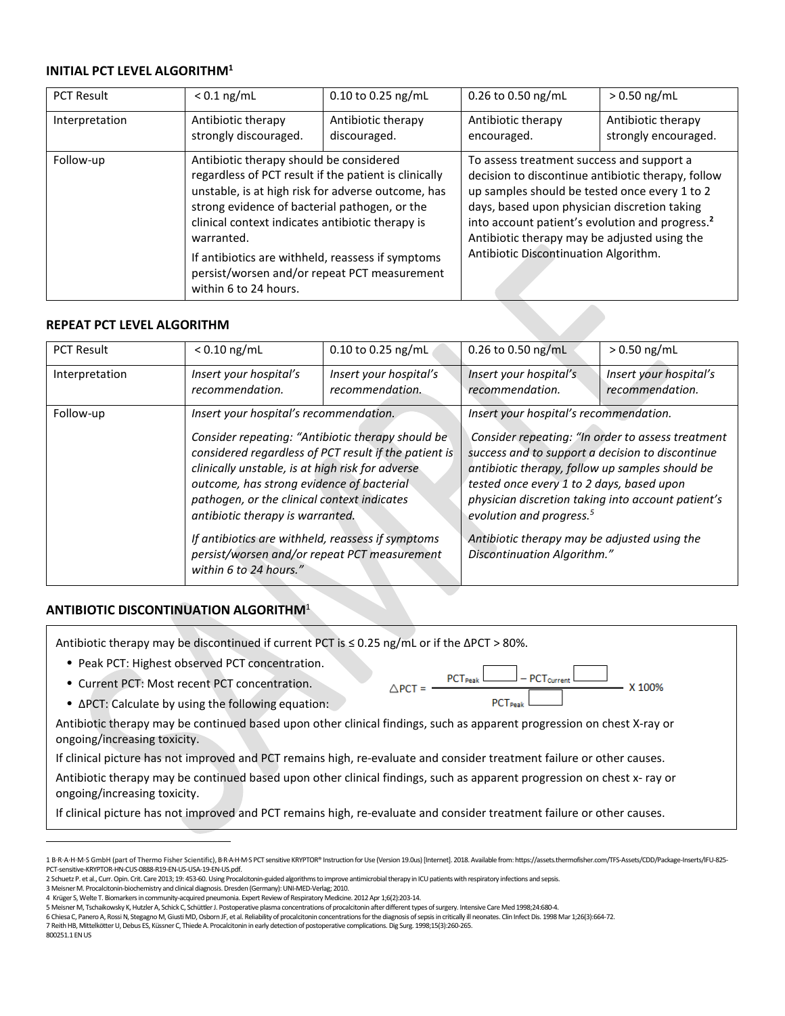### **INITIAL PCT LEVEL ALGORITHM<sup>1</sup>**

| <b>PCT Result</b> | $< 0.1$ ng/mL                               | $0.10$ to 0.25 ng/mL                                                                                                                                                                                                                                                                                                                                             | 0.26 to 0.50 ng/mL                | $> 0.50$ ng/mL                                                                                                                                                                                                                                                                                                                                           |  |
|-------------------|---------------------------------------------|------------------------------------------------------------------------------------------------------------------------------------------------------------------------------------------------------------------------------------------------------------------------------------------------------------------------------------------------------------------|-----------------------------------|----------------------------------------------------------------------------------------------------------------------------------------------------------------------------------------------------------------------------------------------------------------------------------------------------------------------------------------------------------|--|
| Interpretation    | Antibiotic therapy<br>strongly discouraged. | Antibiotic therapy<br>discouraged.                                                                                                                                                                                                                                                                                                                               | Antibiotic therapy<br>encouraged. | Antibiotic therapy<br>strongly encouraged.                                                                                                                                                                                                                                                                                                               |  |
| Follow-up         | warranted.<br>within 6 to 24 hours.         | Antibiotic therapy should be considered<br>regardless of PCT result if the patient is clinically<br>unstable, is at high risk for adverse outcome, has<br>strong evidence of bacterial pathogen, or the<br>clinical context indicates antibiotic therapy is<br>If antibiotics are withheld, reassess if symptoms<br>persist/worsen and/or repeat PCT measurement |                                   | To assess treatment success and support a<br>decision to discontinue antibiotic therapy, follow<br>up samples should be tested once every 1 to 2<br>days, based upon physician discretion taking<br>into account patient's evolution and progress. <sup>2</sup><br>Antibiotic therapy may be adjusted using the<br>Antibiotic Discontinuation Algorithm. |  |

### **REPEAT PCT LEVEL ALGORITHM**

| <b>PCT Result</b> | $< 0.10$ ng/mL                                                                                                                                                                                                                                                                                                                           | 0.10 to 0.25 ng/mL                        | 0.26 to 0.50 ng/mL                                                                                                                                                                                                                                                                                  | $> 0.50$ ng/mL                            |
|-------------------|------------------------------------------------------------------------------------------------------------------------------------------------------------------------------------------------------------------------------------------------------------------------------------------------------------------------------------------|-------------------------------------------|-----------------------------------------------------------------------------------------------------------------------------------------------------------------------------------------------------------------------------------------------------------------------------------------------------|-------------------------------------------|
| Interpretation    | Insert your hospital's<br>recommendation.                                                                                                                                                                                                                                                                                                | Insert your hospital's<br>recommendation. | Insert your hospital's<br>recommendation.                                                                                                                                                                                                                                                           | Insert your hospital's<br>recommendation. |
| Follow-up         | Insert your hospital's recommendation.<br>Consider repeating: "Antibiotic therapy should be<br>considered regardless of PCT result if the patient is<br>clinically unstable, is at high risk for adverse<br>outcome, has strong evidence of bacterial<br>pathogen, or the clinical context indicates<br>antibiotic therapy is warranted. |                                           | Insert your hospital's recommendation.                                                                                                                                                                                                                                                              |                                           |
|                   |                                                                                                                                                                                                                                                                                                                                          |                                           | Consider repeating: "In order to assess treatment<br>success and to support a decision to discontinue<br>antibiotic therapy, follow up samples should be<br>tested once every 1 to 2 days, based upon<br>physician discretion taking into account patient's<br>evolution and progress. <sup>5</sup> |                                           |
|                   | If antibiotics are withheld, reassess if symptoms<br>persist/worsen and/or repeat PCT measurement<br>within 6 to 24 hours."                                                                                                                                                                                                              |                                           | Antibiotic therapy may be adjusted using the<br>Discontinuation Algorithm."                                                                                                                                                                                                                         |                                           |

### **ANTIBIOTIC DISCONTINUATION ALGORITHM**<sup>1</sup>

Antibiotic therapy may be discontinued if current PCT is ≤ 0.25 ng/mL or if the ΔPCT > 80%.

- Peak PCT: Highest observed PCT concentration.
- Current PCT: Most recent PCT concentration.
- ΔPCT: Calculate by using the following equation:

Antibiotic therapy may be continued based upon other clinical findings, such as apparent progression on chest X-ray or ongoing/increasing toxicity.

If clinical picture has not improved and PCT remains high, re-evaluate and consider treatment failure or other causes.

Antibiotic therapy may be continued based upon other clinical findings, such as apparent progression on chest x- ray or ongoing/increasing toxicity.

If clinical picture has not improved and PCT remains high, re-evaluate and consider treatment failure or other causes.

- <span id="page-1-3"></span><span id="page-1-2"></span>4 Krüger S, Welte T. Biomarkers in community-acquired pneumonia. Expert Review of Respiratory Medicine. 2012 Apr 1;6(2):203-14.
- <span id="page-1-4"></span>5 Meisner M, Tschaikowsky K, Hutzler A, Schick C, Schüttler J. Postoperative plasma concentrations of procalcitonin after different types of surgery. Intensive Care Med 1998;24:680-4. 6 Chiesa C, Panero A, Rossi N, Stegagno M, Giusti MD, Osborn JF, et al. Reliability of procalcitonin concentrations for the diagnosis of sepsis in critically ill neonates. Clin Infect Dis. 1998 Mar 1;26(3):664-72.

|              | $\Box$ - PCT current L<br>PCT <sub>Peak</sub> L | X 100% |
|--------------|-------------------------------------------------|--------|
| $\wedge$ PCT | Dean <sup>1</sup>                               |        |

<span id="page-1-0"></span><sup>1</sup>B-R-A-H-M-S GmbH (part of Thermo Fisher Scientific), B-R-A-H-M-S PCT sensitive KRYPTOR® Instruction for Use (Version 19.0us) [Internet]. 2018. Available from: https://assets.thermofisher.com/TFS-Assets/CDD/Package-Inserts PCT-sensitive-KRYPTOR-HN-CUS-0888-R19-EN-US-USA-19-EN-US.pdf.

<span id="page-1-1"></span><sup>2</sup> Schuetz P. et al., Curr. Opin. Crit. Care 2013; 19: 453-60. Using Procalcitonin-guided algorithms to improve antimicrobial therapy in ICU patients with respiratory infections and sepsis.

<sup>3</sup> Meisner M. Procalcitonin-biochemistry and clinical diagnosis. Dresden (Germany): UNI-MED-Verlag; 2010.

<span id="page-1-6"></span><span id="page-1-5"></span><sup>7</sup> Reith HB, Mittelkötter U, Debus ES, Küssner C, Thiede A. Procalcitonin in early detection of postoperative complications. Dig Surg. 1998;15(3):260-265. 800251.1 EN US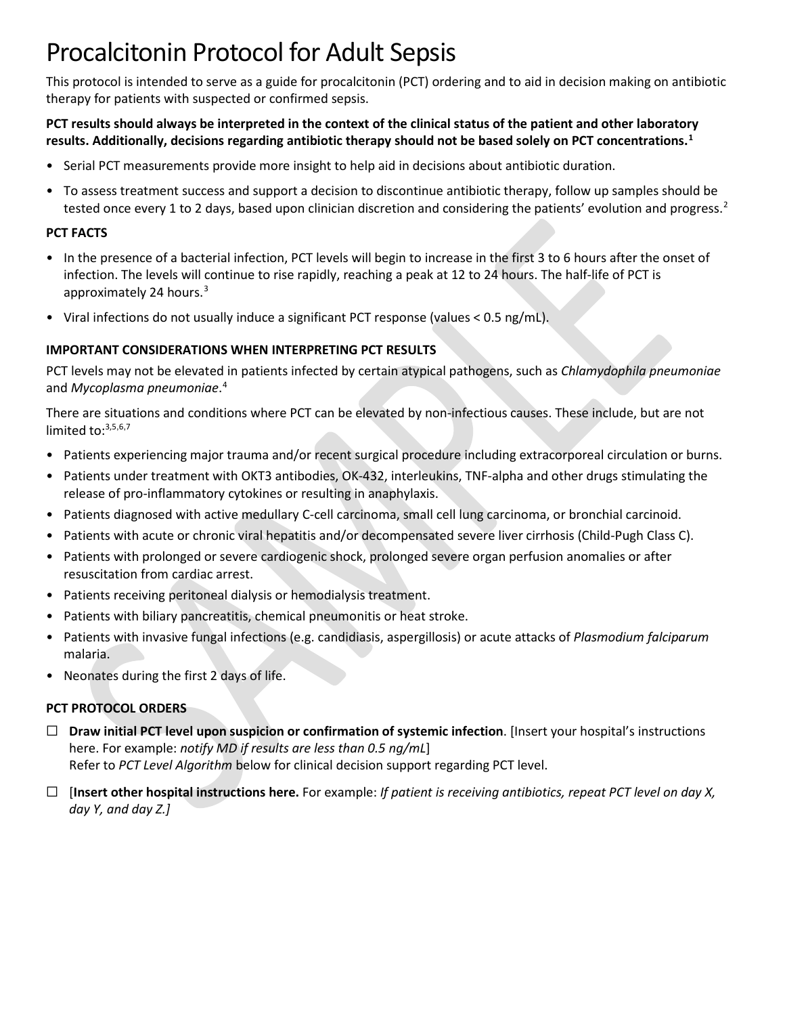## Procalcitonin Protocol for Adult Sepsis

This protocol is intended to serve as a guide for procalcitonin (PCT) ordering and to aid in decision making on antibiotic therapy for patients with suspected or confirmed sepsis.

**PCT results should always be interpreted in the context of the clinical status of the patient and other laboratory results. Additionally, decisions regarding antibiotic therapy should not be based solely on PCT concentrations.[1](#page-3-0)** 

- <span id="page-2-0"></span>• Serial PCT measurements provide more insight to help aid in decisions about antibiotic duration.
- To assess treatment success and support a decision to discontinue antibiotic therapy, follow up samples should be tested once every 1 to 2 days, based upon clinician discretion and considering the patients' evolution and progress.<sup>2</sup>

## **PCT FACTS**

- In the presence of a bacterial infection, PCT levels will begin to increase in the first 3 to 6 hours after the onset of infection. The levels will continue to rise rapidly, reaching a peak at 12 to 24 hours. The half-life of PCT is approximately 24 hours.<sup>[3](#page-3-2)</sup>
- Viral infections do not usually induce a significant PCT response (values < 0.5 ng/mL).

## **IMPORTANT CONSIDERATIONS WHEN INTERPRETING PCT RESULTS**

PCT levels may not be elevated in patients infected by certain atypical pathogens, such as *Chlamydophila pneumoniae* and *Mycoplasma pneumoniae*. [4](#page-3-3)

There are situations and conditions where PCT can be elevated by non-infectious causes. These include, but are not limited to:<sup>3[,5](#page-3-4),[6](#page-3-5),[7](#page-3-6)</sup>

- Patients experiencing major trauma and/or recent surgical procedure including extracorporeal circulation or burns.
- Patients under treatment with OKT3 antibodies, OK-432, interleukins, TNF-alpha and other drugs stimulating the release of pro-inflammatory cytokines or resulting in anaphylaxis.
- Patients diagnosed with active medullary C-cell carcinoma, small cell lung carcinoma, or bronchial carcinoid.
- Patients with acute or chronic viral hepatitis and/or decompensated severe liver cirrhosis (Child-Pugh Class C).
- Patients with prolonged or severe cardiogenic shock, prolonged severe organ perfusion anomalies or after resuscitation from cardiac arrest.
- Patients receiving peritoneal dialysis or hemodialysis treatment.
- Patients with biliary pancreatitis, chemical pneumonitis or heat stroke.
- Patients with invasive fungal infections (e.g. candidiasis, aspergillosis) or acute attacks of *Plasmodium falciparum* malaria.
- Neonates during the first 2 days of life.

## **PCT PROTOCOL ORDERS**

- ☐ **Draw initial PCT level upon suspicion or confirmation of systemic infection**. [Insert your hospital's instructions here. For example: *notify MD if results are less than 0.5 ng/mL*] Refer to *PCT Level Algorithm* below for clinical decision support regarding PCT level.
- ☐ [**Insert other hospital instructions here.** For example: *If patient is receiving antibiotics, repeat PCT level on day X, day Y, and day Z.]*